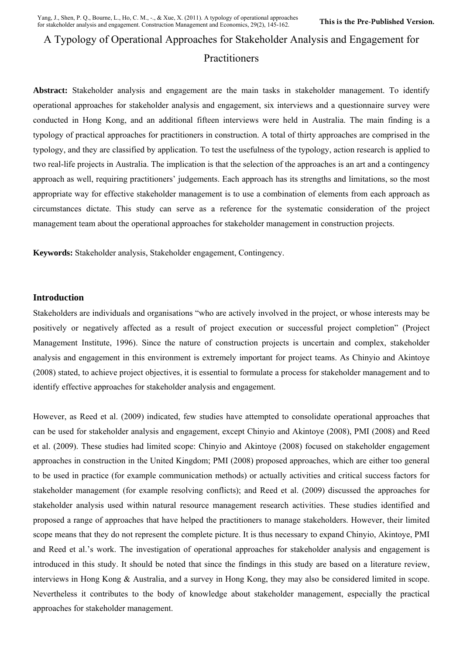# A Typology of Operational Approaches for Stakeholder Analysis and Engagement for

# Practitioners

**Abstract:** Stakeholder analysis and engagement are the main tasks in stakeholder management. To identify operational approaches for stakeholder analysis and engagement, six interviews and a questionnaire survey were conducted in Hong Kong, and an additional fifteen interviews were held in Australia. The main finding is a typology of practical approaches for practitioners in construction. A total of thirty approaches are comprised in the typology, and they are classified by application. To test the usefulness of the typology, action research is applied to two real-life projects in Australia. The implication is that the selection of the approaches is an art and a contingency approach as well, requiring practitioners' judgements. Each approach has its strengths and limitations, so the most appropriate way for effective stakeholder management is to use a combination of elements from each approach as circumstances dictate. This study can serve as a reference for the systematic consideration of the project management team about the operational approaches for stakeholder management in construction projects.

**Keywords:** Stakeholder analysis, Stakeholder engagement, Contingency.

## **Introduction**

Stakeholders are individuals and organisations "who are actively involved in the project, or whose interests may be positively or negatively affected as a result of project execution or successful project completion" (Project Management Institute, 1996). Since the nature of construction projects is uncertain and complex, stakeholder analysis and engagement in this environment is extremely important for project teams. As Chinyio and Akintoye (2008) stated, to achieve project objectives, it is essential to formulate a process for stakeholder management and to identify effective approaches for stakeholder analysis and engagement.

However, as Reed et al. (2009) indicated, few studies have attempted to consolidate operational approaches that can be used for stakeholder analysis and engagement, except Chinyio and Akintoye (2008), PMI (2008) and Reed et al. (2009). These studies had limited scope: Chinyio and Akintoye (2008) focused on stakeholder engagement approaches in construction in the United Kingdom; PMI (2008) proposed approaches, which are either too general to be used in practice (for example communication methods) or actually activities and critical success factors for stakeholder management (for example resolving conflicts); and Reed et al. (2009) discussed the approaches for stakeholder analysis used within natural resource management research activities. These studies identified and proposed a range of approaches that have helped the practitioners to manage stakeholders. However, their limited scope means that they do not represent the complete picture. It is thus necessary to expand Chinyio, Akintoye, PMI and Reed et al.'s work. The investigation of operational approaches for stakeholder analysis and engagement is introduced in this study. It should be noted that since the findings in this study are based on a literature review, interviews in Hong Kong & Australia, and a survey in Hong Kong, they may also be considered limited in scope. Nevertheless it contributes to the body of knowledge about stakeholder management, especially the practical approaches for stakeholder management.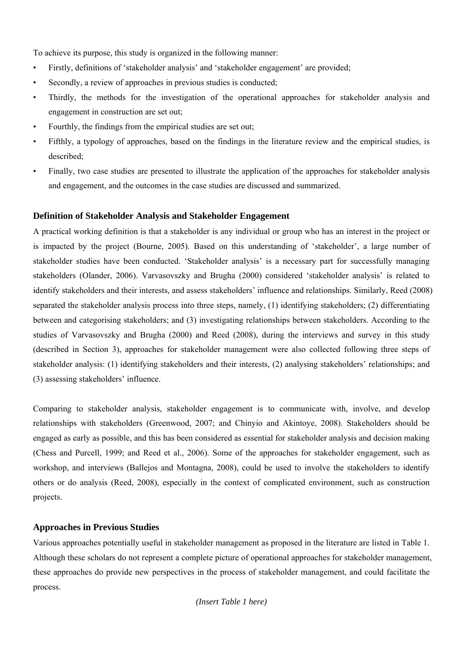To achieve its purpose, this study is organized in the following manner:

- Firstly, definitions of 'stakeholder analysis' and 'stakeholder engagement' are provided;
- Secondly, a review of approaches in previous studies is conducted;
- Thirdly, the methods for the investigation of the operational approaches for stakeholder analysis and engagement in construction are set out;
- Fourthly, the findings from the empirical studies are set out;
- Fifthly, a typology of approaches, based on the findings in the literature review and the empirical studies, is described;
- Finally, two case studies are presented to illustrate the application of the approaches for stakeholder analysis and engagement, and the outcomes in the case studies are discussed and summarized.

# **Definition of Stakeholder Analysis and Stakeholder Engagement**

A practical working definition is that a stakeholder is any individual or group who has an interest in the project or is impacted by the project (Bourne, 2005). Based on this understanding of 'stakeholder', a large number of stakeholder studies have been conducted. 'Stakeholder analysis' is a necessary part for successfully managing stakeholders (Olander, 2006). Varvasovszky and Brugha (2000) considered 'stakeholder analysis' is related to identify stakeholders and their interests, and assess stakeholders' influence and relationships. Similarly, Reed (2008) separated the stakeholder analysis process into three steps, namely, (1) identifying stakeholders; (2) differentiating between and categorising stakeholders; and (3) investigating relationships between stakeholders. According to the studies of Varvasovszky and Brugha (2000) and Reed (2008), during the interviews and survey in this study (described in Section 3), approaches for stakeholder management were also collected following three steps of stakeholder analysis: (1) identifying stakeholders and their interests, (2) analysing stakeholders' relationships; and (3) assessing stakeholders' influence.

Comparing to stakeholder analysis, stakeholder engagement is to communicate with, involve, and develop relationships with stakeholders (Greenwood, 2007; and Chinyio and Akintoye, 2008). Stakeholders should be engaged as early as possible, and this has been considered as essential for stakeholder analysis and decision making (Chess and Purcell, 1999; and Reed et al., 2006). Some of the approaches for stakeholder engagement, such as workshop, and interviews (Ballejos and Montagna, 2008), could be used to involve the stakeholders to identify others or do analysis (Reed, 2008), especially in the context of complicated environment, such as construction projects.

# **Approaches in Previous Studies**

Various approaches potentially useful in stakeholder management as proposed in the literature are listed in Table 1. Although these scholars do not represent a complete picture of operational approaches for stakeholder management, these approaches do provide new perspectives in the process of stakeholder management, and could facilitate the process.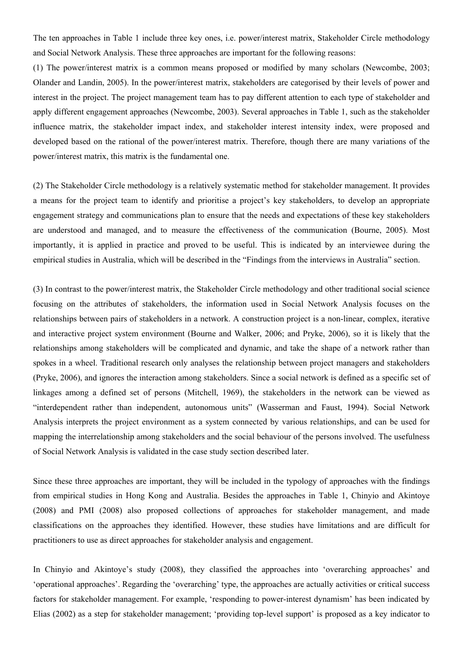The ten approaches in Table 1 include three key ones, i.e. power/interest matrix, Stakeholder Circle methodology and Social Network Analysis. These three approaches are important for the following reasons:

(1) The power/interest matrix is a common means proposed or modified by many scholars (Newcombe, 2003; Olander and Landin, 2005). In the power/interest matrix, stakeholders are categorised by their levels of power and interest in the project. The project management team has to pay different attention to each type of stakeholder and apply different engagement approaches (Newcombe, 2003). Several approaches in Table 1, such as the stakeholder influence matrix, the stakeholder impact index, and stakeholder interest intensity index, were proposed and developed based on the rational of the power/interest matrix. Therefore, though there are many variations of the power/interest matrix, this matrix is the fundamental one.

(2) The Stakeholder Circle methodology is a relatively systematic method for stakeholder management. It provides a means for the project team to identify and prioritise a project's key stakeholders, to develop an appropriate engagement strategy and communications plan to ensure that the needs and expectations of these key stakeholders are understood and managed, and to measure the effectiveness of the communication (Bourne, 2005). Most importantly, it is applied in practice and proved to be useful. This is indicated by an interviewee during the empirical studies in Australia, which will be described in the "Findings from the interviews in Australia" section.

(3) In contrast to the power/interest matrix, the Stakeholder Circle methodology and other traditional social science focusing on the attributes of stakeholders, the information used in Social Network Analysis focuses on the relationships between pairs of stakeholders in a network. A construction project is a non-linear, complex, iterative and interactive project system environment (Bourne and Walker, 2006; and Pryke, 2006), so it is likely that the relationships among stakeholders will be complicated and dynamic, and take the shape of a network rather than spokes in a wheel. Traditional research only analyses the relationship between project managers and stakeholders (Pryke, 2006), and ignores the interaction among stakeholders. Since a social network is defined as a specific set of linkages among a defined set of persons (Mitchell, 1969), the stakeholders in the network can be viewed as "interdependent rather than independent, autonomous units" (Wasserman and Faust, 1994). Social Network Analysis interprets the project environment as a system connected by various relationships, and can be used for mapping the interrelationship among stakeholders and the social behaviour of the persons involved. The usefulness of Social Network Analysis is validated in the case study section described later.

Since these three approaches are important, they will be included in the typology of approaches with the findings from empirical studies in Hong Kong and Australia. Besides the approaches in Table 1, Chinyio and Akintoye (2008) and PMI (2008) also proposed collections of approaches for stakeholder management, and made classifications on the approaches they identified. However, these studies have limitations and are difficult for practitioners to use as direct approaches for stakeholder analysis and engagement.

In Chinyio and Akintoye's study (2008), they classified the approaches into 'overarching approaches' and 'operational approaches'. Regarding the 'overarching' type, the approaches are actually activities or critical success factors for stakeholder management. For example, 'responding to power-interest dynamism' has been indicated by Elias (2002) as a step for stakeholder management; 'providing top-level support' is proposed as a key indicator to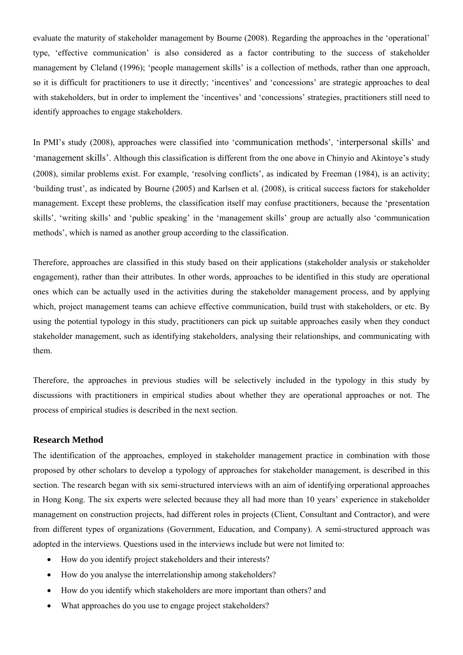evaluate the maturity of stakeholder management by Bourne (2008). Regarding the approaches in the 'operational' type, 'effective communication' is also considered as a factor contributing to the success of stakeholder management by Cleland (1996); 'people management skills' is a collection of methods, rather than one approach, so it is difficult for practitioners to use it directly; 'incentives' and 'concessions' are strategic approaches to deal with stakeholders, but in order to implement the 'incentives' and 'concessions' strategies, practitioners still need to identify approaches to engage stakeholders.

In PMI's study (2008), approaches were classified into 'communication methods', 'interpersonal skills' and 'management skills'. Although this classification is different from the one above in Chinyio and Akintoye's study (2008), similar problems exist. For example, 'resolving conflicts', as indicated by Freeman (1984), is an activity; 'building trust', as indicated by Bourne (2005) and Karlsen et al. (2008), is critical success factors for stakeholder management. Except these problems, the classification itself may confuse practitioners, because the 'presentation skills', 'writing skills' and 'public speaking' in the 'management skills' group are actually also 'communication methods', which is named as another group according to the classification.

Therefore, approaches are classified in this study based on their applications (stakeholder analysis or stakeholder engagement), rather than their attributes. In other words, approaches to be identified in this study are operational ones which can be actually used in the activities during the stakeholder management process, and by applying which, project management teams can achieve effective communication, build trust with stakeholders, or etc. By using the potential typology in this study, practitioners can pick up suitable approaches easily when they conduct stakeholder management, such as identifying stakeholders, analysing their relationships, and communicating with them.

Therefore, the approaches in previous studies will be selectively included in the typology in this study by discussions with practitioners in empirical studies about whether they are operational approaches or not. The process of empirical studies is described in the next section.

#### **Research Method**

The identification of the approaches, employed in stakeholder management practice in combination with those proposed by other scholars to develop a typology of approaches for stakeholder management, is described in this section. The research began with six semi-structured interviews with an aim of identifying orperational approaches in Hong Kong. The six experts were selected because they all had more than 10 years' experience in stakeholder management on construction projects, had different roles in projects (Client, Consultant and Contractor), and were from different types of organizations (Government, Education, and Company). A semi-structured approach was adopted in the interviews. Questions used in the interviews include but were not limited to:

- How do you identify project stakeholders and their interests?
- How do you analyse the interrelationship among stakeholders?
- How do you identify which stakeholders are more important than others? and
- What approaches do you use to engage project stakeholders?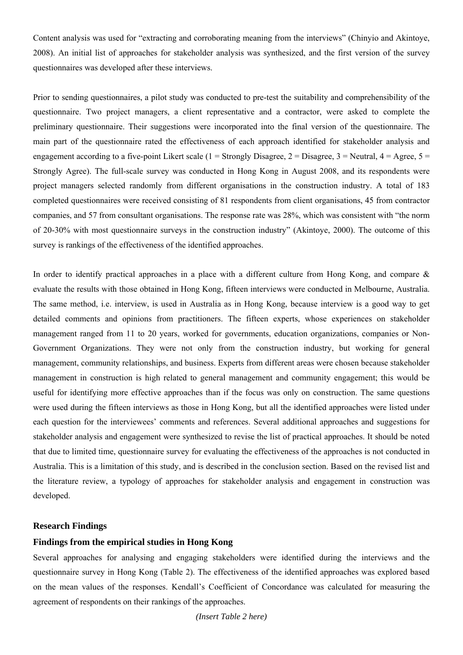Content analysis was used for "extracting and corroborating meaning from the interviews" (Chinyio and Akintoye, 2008). An initial list of approaches for stakeholder analysis was synthesized, and the first version of the survey questionnaires was developed after these interviews.

Prior to sending questionnaires, a pilot study was conducted to pre-test the suitability and comprehensibility of the questionnaire. Two project managers, a client representative and a contractor, were asked to complete the preliminary questionnaire. Their suggestions were incorporated into the final version of the questionnaire. The main part of the questionnaire rated the effectiveness of each approach identified for stakeholder analysis and engagement according to a five-point Likert scale (1 = Strongly Disagree, 2 = Disagree, 3 = Neutral,  $4 = \text{Agree}, 5 =$ Strongly Agree). The full-scale survey was conducted in Hong Kong in August 2008, and its respondents were project managers selected randomly from different organisations in the construction industry. A total of 183 completed questionnaires were received consisting of 81 respondents from client organisations, 45 from contractor companies, and 57 from consultant organisations. The response rate was 28%, which was consistent with "the norm of 20-30% with most questionnaire surveys in the construction industry" (Akintoye, 2000). The outcome of this survey is rankings of the effectiveness of the identified approaches.

In order to identify practical approaches in a place with a different culture from Hong Kong, and compare & evaluate the results with those obtained in Hong Kong, fifteen interviews were conducted in Melbourne, Australia. The same method, i.e. interview, is used in Australia as in Hong Kong, because interview is a good way to get detailed comments and opinions from practitioners. The fifteen experts, whose experiences on stakeholder management ranged from 11 to 20 years, worked for governments, education organizations, companies or Non-Government Organizations. They were not only from the construction industry, but working for general management, community relationships, and business. Experts from different areas were chosen because stakeholder management in construction is high related to general management and community engagement; this would be useful for identifying more effective approaches than if the focus was only on construction. The same questions were used during the fifteen interviews as those in Hong Kong, but all the identified approaches were listed under each question for the interviewees' comments and references. Several additional approaches and suggestions for stakeholder analysis and engagement were synthesized to revise the list of practical approaches. It should be noted that due to limited time, questionnaire survey for evaluating the effectiveness of the approaches is not conducted in Australia. This is a limitation of this study, and is described in the conclusion section. Based on the revised list and the literature review, a typology of approaches for stakeholder analysis and engagement in construction was developed.

#### **Research Findings**

## **Findings from the empirical studies in Hong Kong**

Several approaches for analysing and engaging stakeholders were identified during the interviews and the questionnaire survey in Hong Kong (Table 2). The effectiveness of the identified approaches was explored based on the mean values of the responses. Kendall's Coefficient of Concordance was calculated for measuring the agreement of respondents on their rankings of the approaches.

*(Insert Table 2 here)*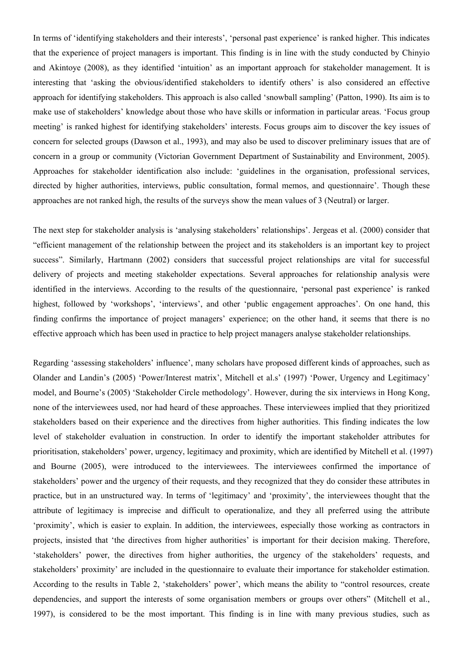In terms of 'identifying stakeholders and their interests', 'personal past experience' is ranked higher. This indicates that the experience of project managers is important. This finding is in line with the study conducted by Chinyio and Akintoye (2008), as they identified 'intuition' as an important approach for stakeholder management. It is interesting that 'asking the obvious/identified stakeholders to identify others' is also considered an effective approach for identifying stakeholders. This approach is also called 'snowball sampling' (Patton, 1990). Its aim is to make use of stakeholders' knowledge about those who have skills or information in particular areas. 'Focus group meeting' is ranked highest for identifying stakeholders' interests. Focus groups aim to discover the key issues of concern for selected groups (Dawson et al., 1993), and may also be used to discover preliminary issues that are of concern in a group or community (Victorian Government Department of Sustainability and Environment, 2005). Approaches for stakeholder identification also include: 'guidelines in the organisation, professional services, directed by higher authorities, interviews, public consultation, formal memos, and questionnaire'. Though these approaches are not ranked high, the results of the surveys show the mean values of 3 (Neutral) or larger.

The next step for stakeholder analysis is 'analysing stakeholders' relationships'. Jergeas et al. (2000) consider that "efficient management of the relationship between the project and its stakeholders is an important key to project success". Similarly, Hartmann (2002) considers that successful project relationships are vital for successful delivery of projects and meeting stakeholder expectations. Several approaches for relationship analysis were identified in the interviews. According to the results of the questionnaire, 'personal past experience' is ranked highest, followed by 'workshops', 'interviews', and other 'public engagement approaches'. On one hand, this finding confirms the importance of project managers' experience; on the other hand, it seems that there is no effective approach which has been used in practice to help project managers analyse stakeholder relationships.

Regarding 'assessing stakeholders' influence', many scholars have proposed different kinds of approaches, such as Olander and Landin's (2005) 'Power/Interest matrix', Mitchell et al.s' (1997) 'Power, Urgency and Legitimacy' model, and Bourne's (2005) 'Stakeholder Circle methodology'. However, during the six interviews in Hong Kong, none of the interviewees used, nor had heard of these approaches. These interviewees implied that they prioritized stakeholders based on their experience and the directives from higher authorities. This finding indicates the low level of stakeholder evaluation in construction. In order to identify the important stakeholder attributes for prioritisation, stakeholders' power, urgency, legitimacy and proximity, which are identified by Mitchell et al. (1997) and Bourne (2005), were introduced to the interviewees. The interviewees confirmed the importance of stakeholders' power and the urgency of their requests, and they recognized that they do consider these attributes in practice, but in an unstructured way. In terms of 'legitimacy' and 'proximity', the interviewees thought that the attribute of legitimacy is imprecise and difficult to operationalize, and they all preferred using the attribute 'proximity', which is easier to explain. In addition, the interviewees, especially those working as contractors in projects, insisted that 'the directives from higher authorities' is important for their decision making. Therefore, 'stakeholders' power, the directives from higher authorities, the urgency of the stakeholders' requests, and stakeholders' proximity' are included in the questionnaire to evaluate their importance for stakeholder estimation. According to the results in Table 2, 'stakeholders' power', which means the ability to "control resources, create dependencies, and support the interests of some organisation members or groups over others" (Mitchell et al., 1997), is considered to be the most important. This finding is in line with many previous studies, such as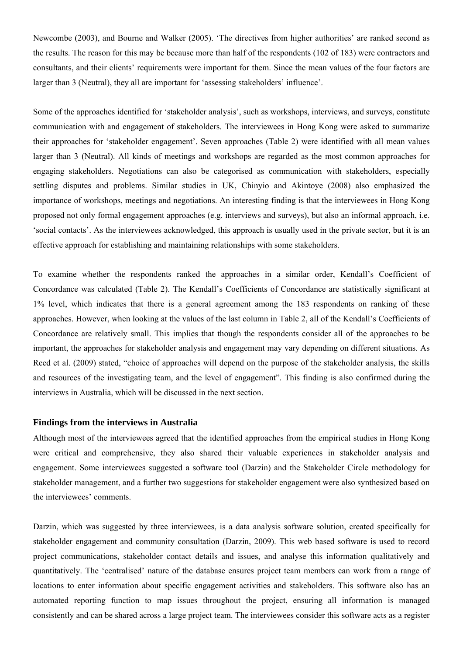Newcombe (2003), and Bourne and Walker (2005). 'The directives from higher authorities' are ranked second as the results. The reason for this may be because more than half of the respondents (102 of 183) were contractors and consultants, and their clients' requirements were important for them. Since the mean values of the four factors are larger than 3 (Neutral), they all are important for 'assessing stakeholders' influence'.

Some of the approaches identified for 'stakeholder analysis', such as workshops, interviews, and surveys, constitute communication with and engagement of stakeholders. The interviewees in Hong Kong were asked to summarize their approaches for 'stakeholder engagement'. Seven approaches (Table 2) were identified with all mean values larger than 3 (Neutral). All kinds of meetings and workshops are regarded as the most common approaches for engaging stakeholders. Negotiations can also be categorised as communication with stakeholders, especially settling disputes and problems. Similar studies in UK, Chinyio and Akintoye (2008) also emphasized the importance of workshops, meetings and negotiations. An interesting finding is that the interviewees in Hong Kong proposed not only formal engagement approaches (e.g. interviews and surveys), but also an informal approach, i.e. 'social contacts'. As the interviewees acknowledged, this approach is usually used in the private sector, but it is an effective approach for establishing and maintaining relationships with some stakeholders.

To examine whether the respondents ranked the approaches in a similar order, Kendall's Coefficient of Concordance was calculated (Table 2). The Kendall's Coefficients of Concordance are statistically significant at 1% level, which indicates that there is a general agreement among the 183 respondents on ranking of these approaches. However, when looking at the values of the last column in Table 2, all of the Kendall's Coefficients of Concordance are relatively small. This implies that though the respondents consider all of the approaches to be important, the approaches for stakeholder analysis and engagement may vary depending on different situations. As Reed et al. (2009) stated, "choice of approaches will depend on the purpose of the stakeholder analysis, the skills and resources of the investigating team, and the level of engagement". This finding is also confirmed during the interviews in Australia, which will be discussed in the next section.

#### **Findings from the interviews in Australia**

Although most of the interviewees agreed that the identified approaches from the empirical studies in Hong Kong were critical and comprehensive, they also shared their valuable experiences in stakeholder analysis and engagement. Some interviewees suggested a software tool (Darzin) and the Stakeholder Circle methodology for stakeholder management, and a further two suggestions for stakeholder engagement were also synthesized based on the interviewees' comments.

Darzin, which was suggested by three interviewees, is a data analysis software solution, created specifically for stakeholder engagement and community consultation (Darzin, 2009). This web based software is used to record project communications, stakeholder contact details and issues, and analyse this information qualitatively and quantitatively. The 'centralised' nature of the database ensures project team members can work from a range of locations to enter information about specific engagement activities and stakeholders. This software also has an automated reporting function to map issues throughout the project, ensuring all information is managed consistently and can be shared across a large project team. The interviewees consider this software acts as a register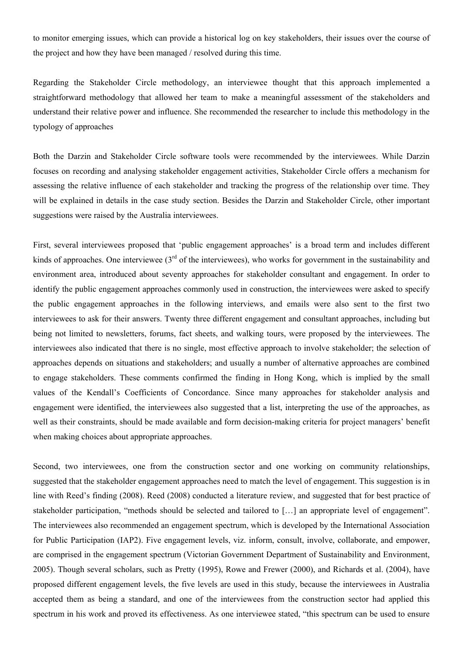to monitor emerging issues, which can provide a historical log on key stakeholders, their issues over the course of the project and how they have been managed / resolved during this time.

Regarding the Stakeholder Circle methodology, an interviewee thought that this approach implemented a straightforward methodology that allowed her team to make a meaningful assessment of the stakeholders and understand their relative power and influence. She recommended the researcher to include this methodology in the typology of approaches

Both the Darzin and Stakeholder Circle software tools were recommended by the interviewees. While Darzin focuses on recording and analysing stakeholder engagement activities, Stakeholder Circle offers a mechanism for assessing the relative influence of each stakeholder and tracking the progress of the relationship over time. They will be explained in details in the case study section. Besides the Darzin and Stakeholder Circle, other important suggestions were raised by the Australia interviewees.

First, several interviewees proposed that 'public engagement approaches' is a broad term and includes different kinds of approaches. One interviewee  $3<sup>rd</sup>$  of the interviewees), who works for government in the sustainability and environment area, introduced about seventy approaches for stakeholder consultant and engagement. In order to identify the public engagement approaches commonly used in construction, the interviewees were asked to specify the public engagement approaches in the following interviews, and emails were also sent to the first two interviewees to ask for their answers. Twenty three different engagement and consultant approaches, including but being not limited to newsletters, forums, fact sheets, and walking tours, were proposed by the interviewees. The interviewees also indicated that there is no single, most effective approach to involve stakeholder; the selection of approaches depends on situations and stakeholders; and usually a number of alternative approaches are combined to engage stakeholders. These comments confirmed the finding in Hong Kong, which is implied by the small values of the Kendall's Coefficients of Concordance. Since many approaches for stakeholder analysis and engagement were identified, the interviewees also suggested that a list, interpreting the use of the approaches, as well as their constraints, should be made available and form decision-making criteria for project managers' benefit when making choices about appropriate approaches.

Second, two interviewees, one from the construction sector and one working on community relationships, suggested that the stakeholder engagement approaches need to match the level of engagement. This suggestion is in line with Reed's finding (2008). Reed (2008) conducted a literature review, and suggested that for best practice of stakeholder participation, "methods should be selected and tailored to […] an appropriate level of engagement". The interviewees also recommended an engagement spectrum, which is developed by the International Association for Public Participation (IAP2). Five engagement levels, viz. inform, consult, involve, collaborate, and empower, are comprised in the engagement spectrum (Victorian Government Department of Sustainability and Environment, 2005). Though several scholars, such as Pretty (1995), Rowe and Frewer (2000), and Richards et al. (2004), have proposed different engagement levels, the five levels are used in this study, because the interviewees in Australia accepted them as being a standard, and one of the interviewees from the construction sector had applied this spectrum in his work and proved its effectiveness. As one interviewee stated, "this spectrum can be used to ensure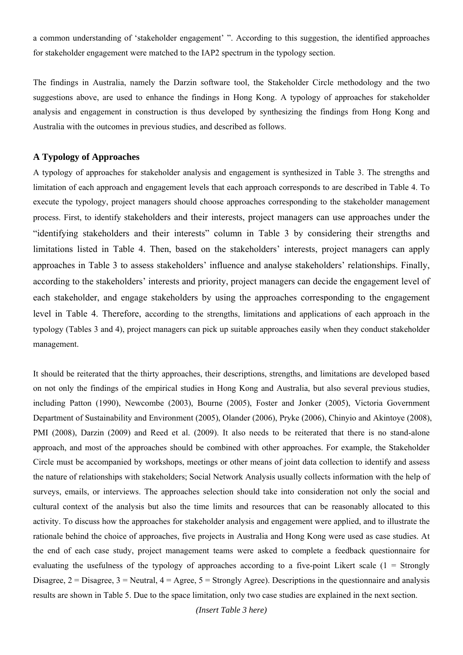a common understanding of 'stakeholder engagement' ". According to this suggestion, the identified approaches for stakeholder engagement were matched to the IAP2 spectrum in the typology section.

The findings in Australia, namely the Darzin software tool, the Stakeholder Circle methodology and the two suggestions above, are used to enhance the findings in Hong Kong. A typology of approaches for stakeholder analysis and engagement in construction is thus developed by synthesizing the findings from Hong Kong and Australia with the outcomes in previous studies, and described as follows.

### **A Typology of Approaches**

A typology of approaches for stakeholder analysis and engagement is synthesized in Table 3. The strengths and limitation of each approach and engagement levels that each approach corresponds to are described in Table 4. To execute the typology, project managers should choose approaches corresponding to the stakeholder management process. First, to identify stakeholders and their interests, project managers can use approaches under the "identifying stakeholders and their interests" column in Table 3 by considering their strengths and limitations listed in Table 4. Then, based on the stakeholders' interests, project managers can apply approaches in Table 3 to assess stakeholders' influence and analyse stakeholders' relationships. Finally, according to the stakeholders' interests and priority, project managers can decide the engagement level of each stakeholder, and engage stakeholders by using the approaches corresponding to the engagement level in Table 4. Therefore, according to the strengths, limitations and applications of each approach in the typology (Tables 3 and 4), project managers can pick up suitable approaches easily when they conduct stakeholder management.

It should be reiterated that the thirty approaches, their descriptions, strengths, and limitations are developed based on not only the findings of the empirical studies in Hong Kong and Australia, but also several previous studies, including Patton (1990), Newcombe (2003), Bourne (2005), Foster and Jonker (2005), Victoria Government Department of Sustainability and Environment (2005), Olander (2006), Pryke (2006), Chinyio and Akintoye (2008), PMI (2008), Darzin (2009) and Reed et al. (2009). It also needs to be reiterated that there is no stand-alone approach, and most of the approaches should be combined with other approaches. For example, the Stakeholder Circle must be accompanied by workshops, meetings or other means of joint data collection to identify and assess the nature of relationships with stakeholders; Social Network Analysis usually collects information with the help of surveys, emails, or interviews. The approaches selection should take into consideration not only the social and cultural context of the analysis but also the time limits and resources that can be reasonably allocated to this activity. To discuss how the approaches for stakeholder analysis and engagement were applied, and to illustrate the rationale behind the choice of approaches, five projects in Australia and Hong Kong were used as case studies. At the end of each case study, project management teams were asked to complete a feedback questionnaire for evaluating the usefulness of the typology of approaches according to a five-point Likert scale  $(1 -$  Strongly Disagree,  $2 = Disagree$ ,  $3 = Neutral$ ,  $4 = Agree$ ,  $5 = Strongly Age$ ). Descriptions in the questionnaire and analysis results are shown in Table 5. Due to the space limitation, only two case studies are explained in the next section.

*(Insert Table 3 here)*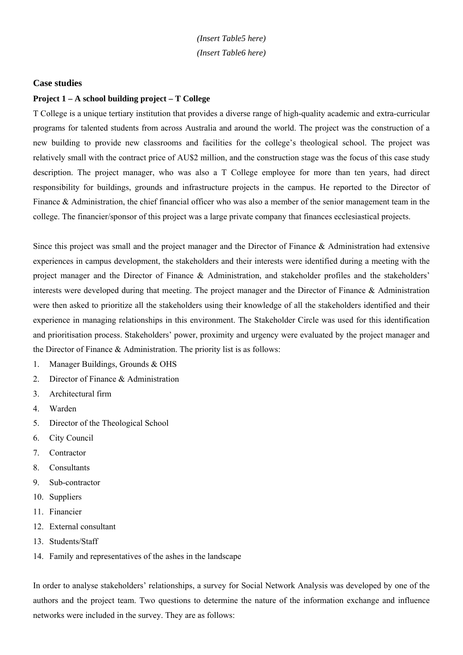*(Insert Table5 here) (Insert Table6 here)* 

#### **Case studies**

### **Project 1 – A school building project – T College**

T College is a unique tertiary institution that provides a diverse range of high-quality academic and extra-curricular programs for talented students from across Australia and around the world. The project was the construction of a new building to provide new classrooms and facilities for the college's theological school. The project was relatively small with the contract price of AU\$2 million, and the construction stage was the focus of this case study description. The project manager, who was also a T College employee for more than ten years, had direct responsibility for buildings, grounds and infrastructure projects in the campus. He reported to the Director of Finance & Administration, the chief financial officer who was also a member of the senior management team in the college. The financier/sponsor of this project was a large private company that finances ecclesiastical projects.

Since this project was small and the project manager and the Director of Finance & Administration had extensive experiences in campus development, the stakeholders and their interests were identified during a meeting with the project manager and the Director of Finance & Administration, and stakeholder profiles and the stakeholders' interests were developed during that meeting. The project manager and the Director of Finance & Administration were then asked to prioritize all the stakeholders using their knowledge of all the stakeholders identified and their experience in managing relationships in this environment. The Stakeholder Circle was used for this identification and prioritisation process. Stakeholders' power, proximity and urgency were evaluated by the project manager and the Director of Finance & Administration. The priority list is as follows:

- 1. Manager Buildings, Grounds & OHS
- 2. Director of Finance & Administration
- 3. Architectural firm
- 4. Warden
- 5. Director of the Theological School
- 6. City Council
- 7. Contractor
- 8. Consultants
- 9. Sub-contractor
- 10. Suppliers
- 11. Financier
- 12. External consultant
- 13. Students/Staff
- 14. Family and representatives of the ashes in the landscape

In order to analyse stakeholders' relationships, a survey for Social Network Analysis was developed by one of the authors and the project team. Two questions to determine the nature of the information exchange and influence networks were included in the survey. They are as follows: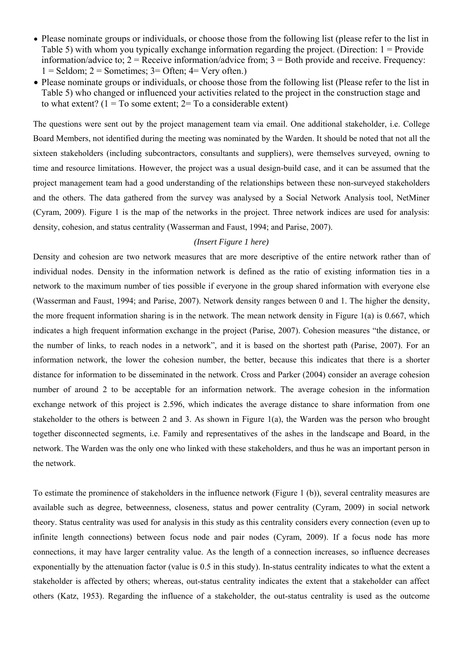- Please nominate groups or individuals, or choose those from the following list (please refer to the list in Table 5) with whom you typically exchange information regarding the project. (Direction: 1 = Provide information/advice to;  $2 =$  Receive information/advice from;  $3 =$  Both provide and receive. Frequency:  $1 =$  Seldom;  $2 =$  Sometimes;  $3 =$  Often;  $4 =$  Very often.)
- Please nominate groups or individuals, or choose those from the following list (Please refer to the list in Table 5) who changed or influenced your activities related to the project in the construction stage and to what extent?  $(1 = To some extent; 2 = To a considerable extent)$

The questions were sent out by the project management team via email. One additional stakeholder, i.e. College Board Members, not identified during the meeting was nominated by the Warden. It should be noted that not all the sixteen stakeholders (including subcontractors, consultants and suppliers), were themselves surveyed, owning to time and resource limitations. However, the project was a usual design-build case, and it can be assumed that the project management team had a good understanding of the relationships between these non-surveyed stakeholders and the others. The data gathered from the survey was analysed by a Social Network Analysis tool, NetMiner (Cyram, 2009). Figure 1 is the map of the networks in the project. Three network indices are used for analysis: density, cohesion, and status centrality (Wasserman and Faust, 1994; and Parise, 2007).

#### *(Insert Figure 1 here)*

Density and cohesion are two network measures that are more descriptive of the entire network rather than of individual nodes. Density in the information network is defined as the ratio of existing information ties in a network to the maximum number of ties possible if everyone in the group shared information with everyone else (Wasserman and Faust, 1994; and Parise, 2007). Network density ranges between 0 and 1. The higher the density, the more frequent information sharing is in the network. The mean network density in Figure 1(a) is 0.667, which indicates a high frequent information exchange in the project (Parise, 2007). Cohesion measures "the distance, or the number of links, to reach nodes in a network", and it is based on the shortest path (Parise, 2007). For an information network, the lower the cohesion number, the better, because this indicates that there is a shorter distance for information to be disseminated in the network. Cross and Parker (2004) consider an average cohesion number of around 2 to be acceptable for an information network. The average cohesion in the information exchange network of this project is 2.596, which indicates the average distance to share information from one stakeholder to the others is between 2 and 3. As shown in Figure 1(a), the Warden was the person who brought together disconnected segments, i.e. Family and representatives of the ashes in the landscape and Board, in the network. The Warden was the only one who linked with these stakeholders, and thus he was an important person in the network.

To estimate the prominence of stakeholders in the influence network (Figure 1 (b)), several centrality measures are available such as degree, betweenness, closeness, status and power centrality (Cyram, 2009) in social network theory. Status centrality was used for analysis in this study as this centrality considers every connection (even up to infinite length connections) between focus node and pair nodes (Cyram, 2009). If a focus node has more connections, it may have larger centrality value. As the length of a connection increases, so influence decreases exponentially by the attenuation factor (value is 0.5 in this study). In-status centrality indicates to what the extent a stakeholder is affected by others; whereas, out-status centrality indicates the extent that a stakeholder can affect others (Katz, 1953). Regarding the influence of a stakeholder, the out-status centrality is used as the outcome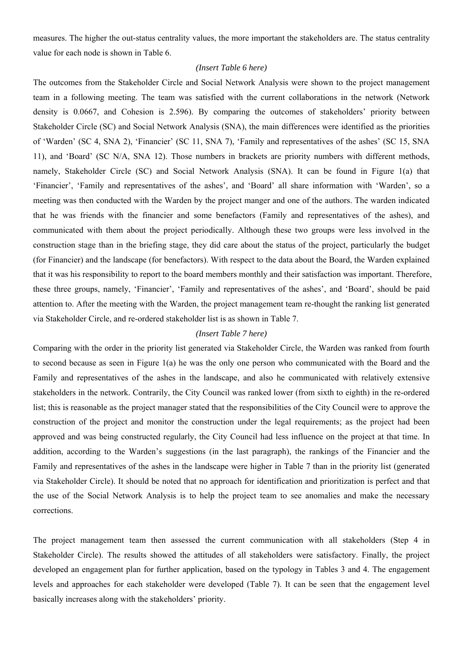measures. The higher the out-status centrality values, the more important the stakeholders are. The status centrality value for each node is shown in Table 6.

#### *(Insert Table 6 here)*

The outcomes from the Stakeholder Circle and Social Network Analysis were shown to the project management team in a following meeting. The team was satisfied with the current collaborations in the network (Network density is 0.0667, and Cohesion is 2.596). By comparing the outcomes of stakeholders' priority between Stakeholder Circle (SC) and Social Network Analysis (SNA), the main differences were identified as the priorities of 'Warden' (SC 4, SNA 2), 'Financier' (SC 11, SNA 7), 'Family and representatives of the ashes' (SC 15, SNA 11), and 'Board' (SC N/A, SNA 12). Those numbers in brackets are priority numbers with different methods, namely, Stakeholder Circle (SC) and Social Network Analysis (SNA). It can be found in Figure 1(a) that 'Financier', 'Family and representatives of the ashes', and 'Board' all share information with 'Warden', so a meeting was then conducted with the Warden by the project manger and one of the authors. The warden indicated that he was friends with the financier and some benefactors (Family and representatives of the ashes), and communicated with them about the project periodically. Although these two groups were less involved in the construction stage than in the briefing stage, they did care about the status of the project, particularly the budget (for Financier) and the landscape (for benefactors). With respect to the data about the Board, the Warden explained that it was his responsibility to report to the board members monthly and their satisfaction was important. Therefore, these three groups, namely, 'Financier', 'Family and representatives of the ashes', and 'Board', should be paid attention to. After the meeting with the Warden, the project management team re-thought the ranking list generated via Stakeholder Circle, and re-ordered stakeholder list is as shown in Table 7.

### *(Insert Table 7 here)*

Comparing with the order in the priority list generated via Stakeholder Circle, the Warden was ranked from fourth to second because as seen in Figure 1(a) he was the only one person who communicated with the Board and the Family and representatives of the ashes in the landscape, and also he communicated with relatively extensive stakeholders in the network. Contrarily, the City Council was ranked lower (from sixth to eighth) in the re-ordered list; this is reasonable as the project manager stated that the responsibilities of the City Council were to approve the construction of the project and monitor the construction under the legal requirements; as the project had been approved and was being constructed regularly, the City Council had less influence on the project at that time. In addition, according to the Warden's suggestions (in the last paragraph), the rankings of the Financier and the Family and representatives of the ashes in the landscape were higher in Table 7 than in the priority list (generated via Stakeholder Circle). It should be noted that no approach for identification and prioritization is perfect and that the use of the Social Network Analysis is to help the project team to see anomalies and make the necessary corrections.

The project management team then assessed the current communication with all stakeholders (Step 4 in Stakeholder Circle). The results showed the attitudes of all stakeholders were satisfactory. Finally, the project developed an engagement plan for further application, based on the typology in Tables 3 and 4. The engagement levels and approaches for each stakeholder were developed (Table 7). It can be seen that the engagement level basically increases along with the stakeholders' priority.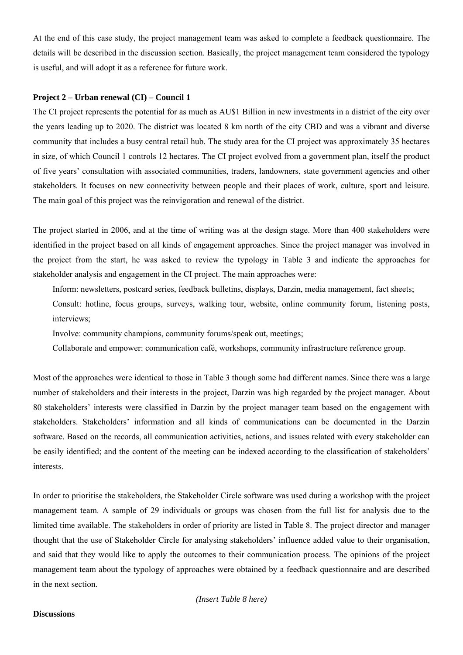At the end of this case study, the project management team was asked to complete a feedback questionnaire. The details will be described in the discussion section. Basically, the project management team considered the typology is useful, and will adopt it as a reference for future work.

#### **Project 2 – Urban renewal (CI) – Council 1**

The CI project represents the potential for as much as AU\$1 Billion in new investments in a district of the city over the years leading up to 2020. The district was located 8 km north of the city CBD and was a vibrant and diverse community that includes a busy central retail hub. The study area for the CI project was approximately 35 hectares in size, of which Council 1 controls 12 hectares. The CI project evolved from a government plan, itself the product of five years' consultation with associated communities, traders, landowners, state government agencies and other stakeholders. It focuses on new connectivity between people and their places of work, culture, sport and leisure. The main goal of this project was the reinvigoration and renewal of the district.

The project started in 2006, and at the time of writing was at the design stage. More than 400 stakeholders were identified in the project based on all kinds of engagement approaches. Since the project manager was involved in the project from the start, he was asked to review the typology in Table 3 and indicate the approaches for stakeholder analysis and engagement in the CI project. The main approaches were:

Inform: newsletters, postcard series, feedback bulletins, displays, Darzin, media management, fact sheets;

Consult: hotline, focus groups, surveys, walking tour, website, online community forum, listening posts, interviews;

Involve: community champions, community forums/speak out, meetings;

Collaborate and empower: communication café, workshops, community infrastructure reference group.

Most of the approaches were identical to those in Table 3 though some had different names. Since there was a large number of stakeholders and their interests in the project, Darzin was high regarded by the project manager. About 80 stakeholders' interests were classified in Darzin by the project manager team based on the engagement with stakeholders. Stakeholders' information and all kinds of communications can be documented in the Darzin software. Based on the records, all communication activities, actions, and issues related with every stakeholder can be easily identified; and the content of the meeting can be indexed according to the classification of stakeholders' interests.

In order to prioritise the stakeholders, the Stakeholder Circle software was used during a workshop with the project management team. A sample of 29 individuals or groups was chosen from the full list for analysis due to the limited time available. The stakeholders in order of priority are listed in Table 8. The project director and manager thought that the use of Stakeholder Circle for analysing stakeholders' influence added value to their organisation, and said that they would like to apply the outcomes to their communication process. The opinions of the project management team about the typology of approaches were obtained by a feedback questionnaire and are described in the next section.

#### **Discussions**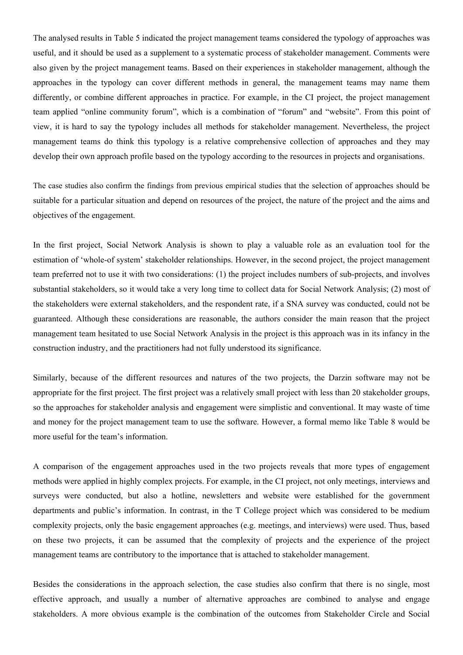The analysed results in Table 5 indicated the project management teams considered the typology of approaches was useful, and it should be used as a supplement to a systematic process of stakeholder management. Comments were also given by the project management teams. Based on their experiences in stakeholder management, although the approaches in the typology can cover different methods in general, the management teams may name them differently, or combine different approaches in practice. For example, in the CI project, the project management team applied "online community forum", which is a combination of "forum" and "website". From this point of view, it is hard to say the typology includes all methods for stakeholder management. Nevertheless, the project management teams do think this typology is a relative comprehensive collection of approaches and they may develop their own approach profile based on the typology according to the resources in projects and organisations.

The case studies also confirm the findings from previous empirical studies that the selection of approaches should be suitable for a particular situation and depend on resources of the project, the nature of the project and the aims and objectives of the engagement.

In the first project, Social Network Analysis is shown to play a valuable role as an evaluation tool for the estimation of 'whole-of system' stakeholder relationships. However, in the second project, the project management team preferred not to use it with two considerations: (1) the project includes numbers of sub-projects, and involves substantial stakeholders, so it would take a very long time to collect data for Social Network Analysis; (2) most of the stakeholders were external stakeholders, and the respondent rate, if a SNA survey was conducted, could not be guaranteed. Although these considerations are reasonable, the authors consider the main reason that the project management team hesitated to use Social Network Analysis in the project is this approach was in its infancy in the construction industry, and the practitioners had not fully understood its significance.

Similarly, because of the different resources and natures of the two projects, the Darzin software may not be appropriate for the first project. The first project was a relatively small project with less than 20 stakeholder groups, so the approaches for stakeholder analysis and engagement were simplistic and conventional. It may waste of time and money for the project management team to use the software. However, a formal memo like Table 8 would be more useful for the team's information.

A comparison of the engagement approaches used in the two projects reveals that more types of engagement methods were applied in highly complex projects. For example, in the CI project, not only meetings, interviews and surveys were conducted, but also a hotline, newsletters and website were established for the government departments and public's information. In contrast, in the T College project which was considered to be medium complexity projects, only the basic engagement approaches (e.g. meetings, and interviews) were used. Thus, based on these two projects, it can be assumed that the complexity of projects and the experience of the project management teams are contributory to the importance that is attached to stakeholder management.

Besides the considerations in the approach selection, the case studies also confirm that there is no single, most effective approach, and usually a number of alternative approaches are combined to analyse and engage stakeholders. A more obvious example is the combination of the outcomes from Stakeholder Circle and Social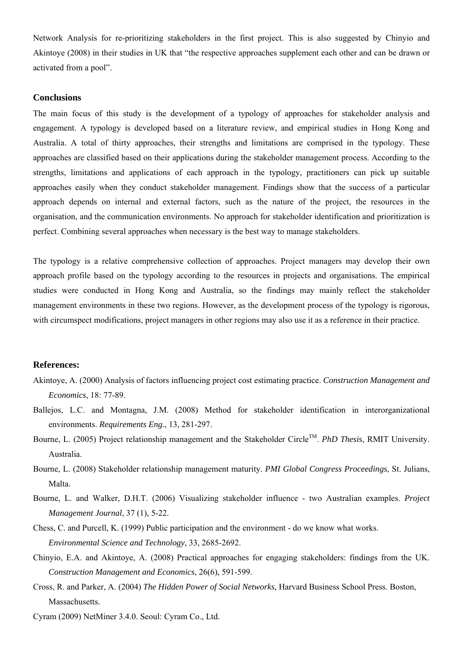Network Analysis for re-prioritizing stakeholders in the first project. This is also suggested by Chinyio and Akintoye (2008) in their studies in UK that "the respective approaches supplement each other and can be drawn or activated from a pool".

#### **Conclusions**

The main focus of this study is the development of a typology of approaches for stakeholder analysis and engagement. A typology is developed based on a literature review, and empirical studies in Hong Kong and Australia. A total of thirty approaches, their strengths and limitations are comprised in the typology. These approaches are classified based on their applications during the stakeholder management process. According to the strengths, limitations and applications of each approach in the typology, practitioners can pick up suitable approaches easily when they conduct stakeholder management. Findings show that the success of a particular approach depends on internal and external factors, such as the nature of the project, the resources in the organisation, and the communication environments. No approach for stakeholder identification and prioritization is perfect. Combining several approaches when necessary is the best way to manage stakeholders.

The typology is a relative comprehensive collection of approaches. Project managers may develop their own approach profile based on the typology according to the resources in projects and organisations. The empirical studies were conducted in Hong Kong and Australia, so the findings may mainly reflect the stakeholder management environments in these two regions. However, as the development process of the typology is rigorous, with circumspect modifications, project managers in other regions may also use it as a reference in their practice.

#### **References:**

- Akintoye, A. (2000) Analysis of factors influencing project cost estimating practice. *Construction Management and Economics*, 18: 77-89.
- Ballejos, L.C. and Montagna, J.M. (2008) Method for stakeholder identification in interorganizational environments. *Requirements Eng.*, 13, 281-297.
- Bourne, L. (2005) Project relationship management and the Stakeholder Circle™. *PhD Thesis*, RMIT University. Australia.
- Bourne, L. (2008) Stakeholder relationship management maturity. *PMI Global Congress Proceedings*, St. Julians, Malta.
- Bourne, L. and Walker, D.H.T. (2006) Visualizing stakeholder influence two Australian examples. *Project Management Journal*, 37 (1), 5-22.
- Chess, C. and Purcell, K. (1999) Public participation and the environment do we know what works. *Environmental Science and Technology*, 33, 2685-2692.
- Chinyio, E.A. and Akintoye, A. (2008) Practical approaches for engaging stakeholders: findings from the UK. *Construction Management and Economics*, 26(6), 591-599.
- Cross, R. and Parker, A. (2004) *The Hidden Power of Social Networks*, Harvard Business School Press. Boston, Massachusetts.
- Cyram (2009) NetMiner 3.4.0. Seoul: Cyram Co., Ltd.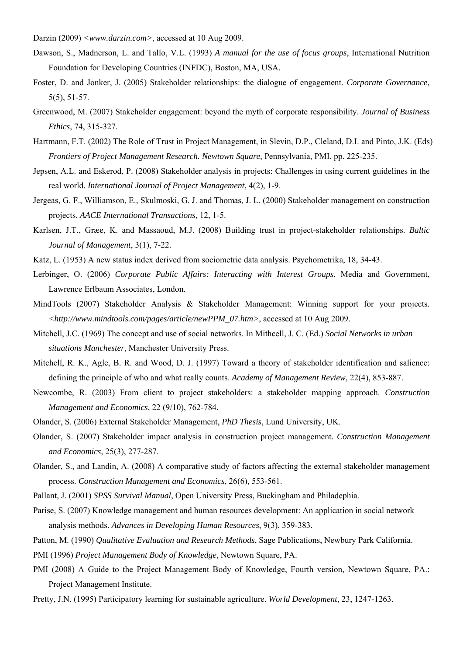Darzin (2009) *<www.darzin.com>*, accessed at 10 Aug 2009.

- Dawson, S., Madnerson, L. and Tallo, V.L. (1993) *A manual for the use of focus groups*, International Nutrition Foundation for Developing Countries (INFDC), Boston, MA, USA.
- Foster, D. and Jonker, J. (2005) Stakeholder relationships: the dialogue of engagement. *Corporate Governance*, 5(5), 51-57.
- Greenwood, M. (2007) Stakeholder engagement: beyond the myth of corporate responsibility. *Journal of Business Ethics*, 74, 315-327.
- Hartmann, F.T. (2002) The Role of Trust in Project Management, in Slevin, D.P., Cleland, D.I. and Pinto, J.K. (Eds) *Frontiers of Project Management Research. Newtown Square*, Pennsylvania, PMI, pp. 225-235.
- Jepsen, A.L. and Eskerod, P. (2008) Stakeholder analysis in projects: Challenges in using current guidelines in the real world. *International Journal of Project Management*, 4(2), 1-9.
- Jergeas, G. F., Williamson, E., Skulmoski, G. J. and Thomas, J. L. (2000) Stakeholder management on construction projects. *AACE International Transactions*, 12, 1-5.
- Karlsen, J.T., Græe, K. and Massaoud, M.J. (2008) Building trust in project-stakeholder relationships. *Baltic Journal of Management*, 3(1), 7-22.
- Katz, L. (1953) A new status index derived from sociometric data analysis. Psychometrika, 18, 34-43.
- Lerbinger, O. (2006) *Corporate Public Affairs: Interacting with Interest Groups*, Media and Government, Lawrence Erlbaum Associates, London.
- MindTools (2007) Stakeholder Analysis & Stakeholder Management: Winning support for your projects. *<http://www.mindtools.com/pages/article/newPPM\_07.htm>*, accessed at 10 Aug 2009.
- Mitchell, J.C. (1969) The concept and use of social networks. In Mithcell, J. C. (Ed.) *Social Networks in urban situations Manchester*, Manchester University Press.
- Mitchell, R. K., Agle, B. R. and Wood, D. J. (1997) Toward a theory of stakeholder identification and salience: defining the principle of who and what really counts. *Academy of Management Review*, 22(4), 853-887.
- Newcombe, R. (2003) From client to project stakeholders: a stakeholder mapping approach. *Construction Management and Economics*, 22 (9/10), 762-784.
- Olander, S. (2006) External Stakeholder Management, *PhD Thesis*, Lund University, UK.
- Olander, S. (2007) Stakeholder impact analysis in construction project management. *Construction Management and Economics*, 25(3), 277-287.
- Olander, S., and Landin, A. (2008) A comparative study of factors affecting the external stakeholder management process. *Construction Management and Economics*, 26(6), 553-561.
- Pallant, J. (2001) *SPSS Survival Manual*, Open University Press, Buckingham and Philadephia.
- Parise, S. (2007) Knowledge management and human resources development: An application in social network analysis methods. *Advances in Developing Human Resources*, 9(3), 359-383.
- Patton, M. (1990) *Qualitative Evaluation and Research Methods*, Sage Publications, Newbury Park California.

PMI (1996) *Project Management Body of Knowledge*, Newtown Square, PA.

- PMI (2008) A Guide to the Project Management Body of Knowledge, Fourth version, Newtown Square, PA.: Project Management Institute.
- Pretty, J.N. (1995) Participatory learning for sustainable agriculture. *World Development*, 23, 1247-1263.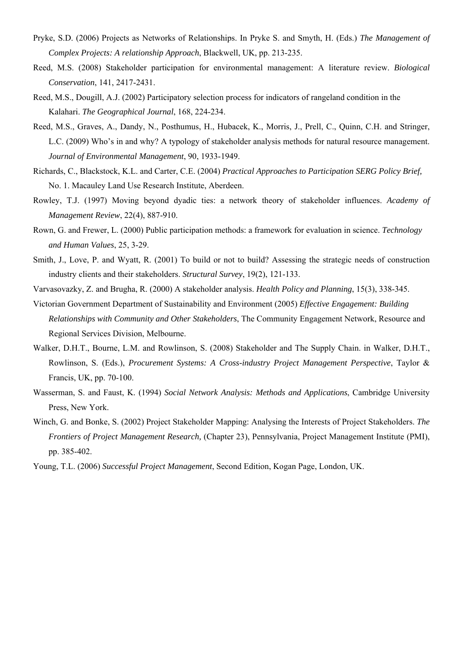- Pryke, S.D. (2006) Projects as Networks of Relationships. In Pryke S. and Smyth, H. (Eds.) *The Management of Complex Projects: A relationship Approach*, Blackwell, UK, pp. 213-235.
- Reed, M.S. (2008) Stakeholder participation for environmental management: A literature review. *Biological Conservation*, 141, 2417-2431.
- Reed, M.S., Dougill, A.J. (2002) Participatory selection process for indicators of rangeland condition in the Kalahari. *The Geographical Journal*, 168, 224-234.
- Reed, M.S., Graves, A., Dandy, N., Posthumus, H., Hubacek, K., Morris, J., Prell, C., Quinn, C.H. and Stringer, L.C. (2009) Who's in and why? A typology of stakeholder analysis methods for natural resource management. *Journal of Environmental Management*, 90, 1933-1949.
- Richards, C., Blackstock, K.L. and Carter, C.E. (2004) *Practical Approaches to Participation SERG Policy Brief,* No. 1. Macauley Land Use Research Institute, Aberdeen.
- Rowley, T.J. (1997) Moving beyond dyadic ties: a network theory of stakeholder influences. *Academy of Management Review*, 22(4), 887-910.
- Rown, G. and Frewer, L. (2000) Public participation methods: a framework for evaluation in science. *Technology and Human Values*, 25, 3-29.
- Smith, J., Love, P. and Wyatt, R. (2001) To build or not to build? Assessing the strategic needs of construction industry clients and their stakeholders. *Structural Survey*, 19(2), 121-133.
- Varvasovazky, Z. and Brugha, R. (2000) A stakeholder analysis. *Health Policy and Planning*, 15(3), 338-345.
- Victorian Government Department of Sustainability and Environment (2005) *Effective Engagement: Building Relationships with Community and Other Stakeholders*, The Community Engagement Network, Resource and Regional Services Division, Melbourne.
- Walker, D.H.T., Bourne, L.M. and Rowlinson, S. (2008) Stakeholder and The Supply Chain. in Walker, D.H.T., Rowlinson, S. (Eds.), *Procurement Systems: A Cross-industry Project Management Perspective*, Taylor & Francis, UK, pp. 70-100.
- Wasserman, S. and Faust, K. (1994) *Social Network Analysis: Methods and Applications*, Cambridge University Press, New York.
- Winch, G. and Bonke, S. (2002) Project Stakeholder Mapping: Analysing the Interests of Project Stakeholders. *The Frontiers of Project Management Research,* (Chapter 23), Pennsylvania, Project Management Institute (PMI), pp. 385-402.
- Young, T.L. (2006) *Successful Project Management*, Second Edition, Kogan Page, London, UK.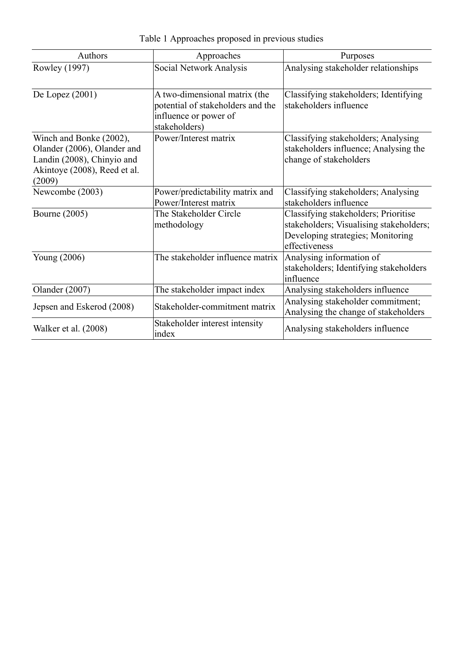| <b>Authors</b>                                                                                                                 | Approaches                                                                                                   | Purposes                                                                                                                              |
|--------------------------------------------------------------------------------------------------------------------------------|--------------------------------------------------------------------------------------------------------------|---------------------------------------------------------------------------------------------------------------------------------------|
| Rowley (1997)                                                                                                                  | Social Network Analysis                                                                                      | Analysing stakeholder relationships                                                                                                   |
| De Lopez $(2001)$                                                                                                              | A two-dimensional matrix (the<br>potential of stakeholders and the<br>influence or power of<br>stakeholders) | Classifying stakeholders; Identifying<br>stakeholders influence                                                                       |
| Winch and Bonke (2002),<br>Olander (2006), Olander and<br>Landin (2008), Chinyio and<br>Akintoye (2008), Reed et al.<br>(2009) | Power/Interest matrix                                                                                        | Classifying stakeholders; Analysing<br>stakeholders influence; Analysing the<br>change of stakeholders                                |
| Newcombe (2003)                                                                                                                | Power/predictability matrix and<br>Power/Interest matrix                                                     | Classifying stakeholders; Analysing<br>stakeholders influence                                                                         |
| <b>Bourne</b> (2005)                                                                                                           | The Stakeholder Circle<br>methodology                                                                        | Classifying stakeholders; Prioritise<br>stakeholders; Visualising stakeholders;<br>Developing strategies; Monitoring<br>effectiveness |
| Young (2006)                                                                                                                   | The stakeholder influence matrix                                                                             | Analysing information of<br>stakeholders; Identifying stakeholders<br>influence                                                       |
| Olander (2007)                                                                                                                 | The stakeholder impact index                                                                                 | Analysing stakeholders influence                                                                                                      |
| Jepsen and Eskerod (2008)                                                                                                      | Stakeholder-commitment matrix                                                                                | Analysing stakeholder commitment;<br>Analysing the change of stakeholders                                                             |
| Walker et al. (2008)                                                                                                           | Stakeholder interest intensity<br>index                                                                      | Analysing stakeholders influence                                                                                                      |

Table 1 Approaches proposed in previous studies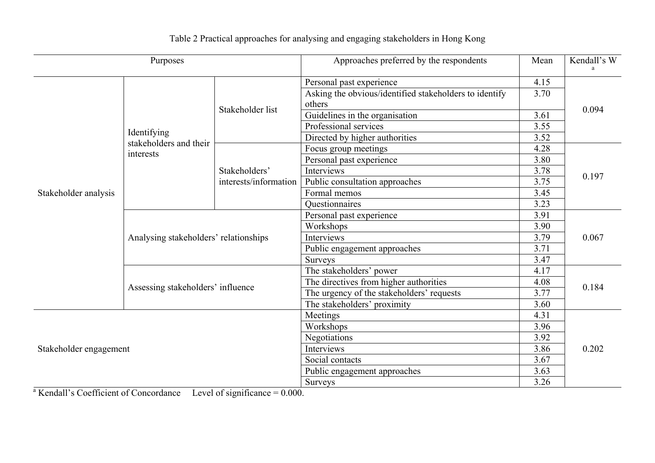| Purposes               |                                       | Approaches preferred by the respondents |                                                        | Kendall's W |       |  |
|------------------------|---------------------------------------|-----------------------------------------|--------------------------------------------------------|-------------|-------|--|
|                        |                                       |                                         | Personal past experience                               | 4.15        |       |  |
|                        |                                       |                                         | Asking the obvious/identified stakeholders to identify | 3.70        |       |  |
|                        |                                       | Stakeholder list                        | others                                                 | 0.094       |       |  |
|                        |                                       |                                         | Guidelines in the organisation                         | 3.61        |       |  |
|                        | Identifying                           |                                         | Professional services                                  | 3.55        |       |  |
|                        | stakeholders and their                |                                         | Directed by higher authorities                         | 3.52        |       |  |
|                        | interests                             |                                         | Focus group meetings                                   | 4.28        |       |  |
|                        |                                       |                                         | Personal past experience                               | 3.80        |       |  |
|                        |                                       | Stakeholders'                           | Interviews                                             | 3.78        | 0.197 |  |
|                        |                                       | interests/information                   | Public consultation approaches                         | 3.75        |       |  |
| Stakeholder analysis   |                                       |                                         | Formal memos                                           | 3.45        |       |  |
|                        |                                       |                                         | Questionnaires                                         | 3.23        |       |  |
|                        | Analysing stakeholders' relationships |                                         | Personal past experience                               | 3.91        | 0.067 |  |
|                        |                                       |                                         | Workshops                                              | 3.90        |       |  |
|                        |                                       |                                         | Interviews                                             | 3.79        |       |  |
|                        |                                       |                                         | Public engagement approaches                           | 3.71        |       |  |
|                        |                                       |                                         | <b>Surveys</b>                                         | 3.47        |       |  |
|                        | Assessing stakeholders' influence     |                                         | The stakeholders' power                                | 4.17        |       |  |
|                        |                                       |                                         | The directives from higher authorities                 | 4.08        | 0.184 |  |
|                        |                                       |                                         | The urgency of the stakeholders' requests              | 3.77        |       |  |
|                        |                                       |                                         | The stakeholders' proximity                            | 3.60        |       |  |
|                        |                                       |                                         | Meetings                                               | 4.31        |       |  |
| Stakeholder engagement |                                       | Workshops                               | 3.96                                                   |             |       |  |
|                        |                                       | Negotiations                            | 3.92                                                   |             |       |  |
|                        |                                       | Interviews                              | 3.86                                                   | 0.202       |       |  |
|                        |                                       | Social contacts                         | 3.67                                                   |             |       |  |
|                        |                                       | Public engagement approaches            | 3.63                                                   |             |       |  |
|                        |                                       | <b>Surveys</b>                          | 3.26                                                   |             |       |  |

Table 2 Practical approaches for analysing and engaging stakeholders in Hong Kong

 $a$  Kendall's Coefficient of Concordance Level of significance =  $0.000$ .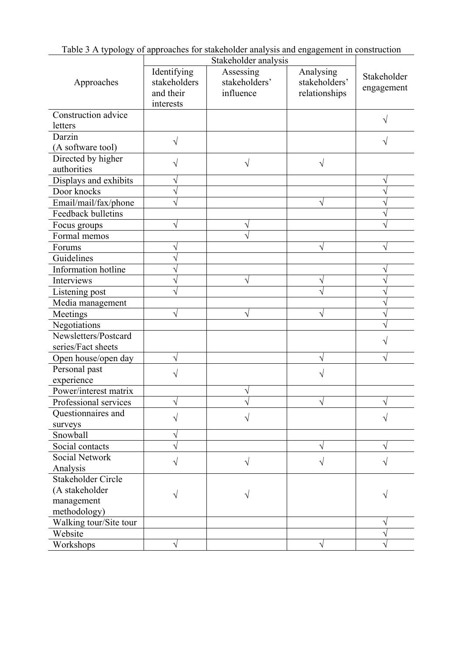| Table 3 A typology of approaches for stakeholder analysis and engagement in construction |
|------------------------------------------------------------------------------------------|
| Stakeholder analysis                                                                     |

| Approaches             | Identifying<br>stakeholders<br>and their<br>interests | Assessing<br>stakeholders'<br>influence | Analysing<br>stakeholders'<br>relationships | Stakeholder<br>engagement |
|------------------------|-------------------------------------------------------|-----------------------------------------|---------------------------------------------|---------------------------|
| Construction advice    |                                                       |                                         |                                             |                           |
| letters                |                                                       |                                         |                                             | V                         |
| Darzin                 |                                                       |                                         |                                             |                           |
| (A software tool)      |                                                       |                                         |                                             | V                         |
| Directed by higher     |                                                       |                                         |                                             |                           |
| authorities            |                                                       | $\sqrt{}$                               | V                                           |                           |
| Displays and exhibits  |                                                       |                                         |                                             | ٦                         |
| Door knocks            |                                                       |                                         |                                             |                           |
| Email/mail/fax/phone   |                                                       |                                         |                                             |                           |
| Feedback bulletins     |                                                       |                                         |                                             |                           |
| Focus groups           |                                                       |                                         |                                             |                           |
| Formal memos           |                                                       |                                         |                                             |                           |
| Forums                 |                                                       |                                         | N                                           |                           |
| Guidelines             |                                                       |                                         |                                             |                           |
| Information hotline    |                                                       |                                         |                                             |                           |
| Interviews             |                                                       | V                                       | V                                           |                           |
| Listening post         |                                                       |                                         |                                             |                           |
| Media management       |                                                       |                                         |                                             |                           |
| Meetings               |                                                       | N                                       | J                                           |                           |
| Negotiations           |                                                       |                                         |                                             |                           |
| Newsletters/Postcard   |                                                       |                                         |                                             |                           |
| series/Fact sheets     |                                                       |                                         |                                             |                           |
| Open house/open day    |                                                       |                                         | V                                           |                           |
| Personal past          |                                                       |                                         |                                             |                           |
| experience             |                                                       |                                         |                                             |                           |
| Power/interest matrix  |                                                       |                                         |                                             |                           |
| Professional services  |                                                       |                                         |                                             |                           |
| Questionnaires and     |                                                       |                                         |                                             |                           |
| surveys                |                                                       |                                         |                                             |                           |
| Snowball               |                                                       |                                         |                                             |                           |
| Social contacts        |                                                       |                                         | V                                           | N                         |
| Social Network         |                                                       | N                                       |                                             |                           |
| Analysis               |                                                       |                                         |                                             |                           |
| Stakeholder Circle     |                                                       |                                         |                                             |                           |
| (A stakeholder         |                                                       |                                         |                                             |                           |
| management             |                                                       |                                         |                                             |                           |
| methodology)           |                                                       |                                         |                                             |                           |
| Walking tour/Site tour |                                                       |                                         |                                             | V                         |
| Website                |                                                       |                                         |                                             |                           |
| Workshops              |                                                       |                                         | V                                           |                           |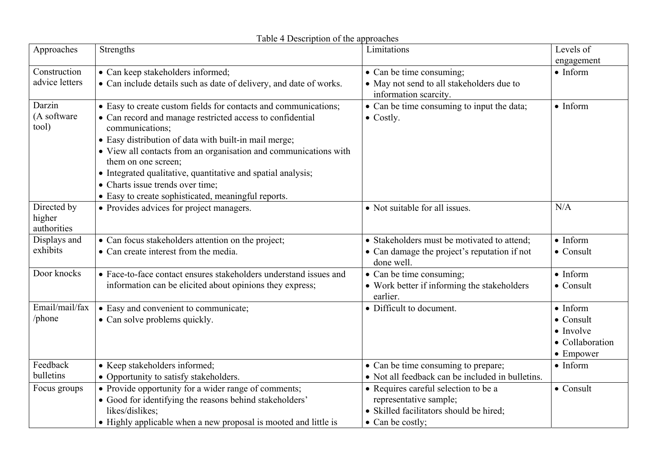| Approaches                           | Strengths                                                                                                                                                                                                                                                                                                                                                                                                                                                      | Limitations                                                                                                                           | Levels of                                                                                          |
|--------------------------------------|----------------------------------------------------------------------------------------------------------------------------------------------------------------------------------------------------------------------------------------------------------------------------------------------------------------------------------------------------------------------------------------------------------------------------------------------------------------|---------------------------------------------------------------------------------------------------------------------------------------|----------------------------------------------------------------------------------------------------|
|                                      |                                                                                                                                                                                                                                                                                                                                                                                                                                                                |                                                                                                                                       | engagement                                                                                         |
| Construction                         | • Can keep stakeholders informed;                                                                                                                                                                                                                                                                                                                                                                                                                              | • Can be time consuming;                                                                                                              | $\bullet$ Inform                                                                                   |
| advice letters                       | • Can include details such as date of delivery, and date of works.                                                                                                                                                                                                                                                                                                                                                                                             | • May not send to all stakeholders due to<br>information scarcity.                                                                    |                                                                                                    |
| Darzin<br>(A software<br>tool)       | • Easy to create custom fields for contacts and communications;<br>• Can record and manage restricted access to confidential<br>communications;<br>• Easy distribution of data with built-in mail merge;<br>• View all contacts from an organisation and communications with<br>them on one screen;<br>• Integrated qualitative, quantitative and spatial analysis;<br>• Charts issue trends over time;<br>• Easy to create sophisticated, meaningful reports. | • Can be time consuming to input the data;<br>$\bullet$ Costly.                                                                       | $\bullet$ Inform                                                                                   |
| Directed by<br>higher<br>authorities | • Provides advices for project managers.                                                                                                                                                                                                                                                                                                                                                                                                                       | • Not suitable for all issues.                                                                                                        | N/A                                                                                                |
| Displays and                         | • Can focus stakeholders attention on the project;                                                                                                                                                                                                                                                                                                                                                                                                             | • Stakeholders must be motivated to attend;                                                                                           | $\bullet$ Inform                                                                                   |
| exhibits                             | • Can create interest from the media.                                                                                                                                                                                                                                                                                                                                                                                                                          | • Can damage the project's reputation if not<br>done well.                                                                            | $\bullet$ Consult                                                                                  |
| Door knocks                          | • Face-to-face contact ensures stakeholders understand issues and<br>information can be elicited about opinions they express;                                                                                                                                                                                                                                                                                                                                  | • Can be time consuming;<br>• Work better if informing the stakeholders<br>earlier.                                                   | $\bullet$ Inform<br>$\bullet$ Consult                                                              |
| Email/mail/fax<br>/phone             | • Easy and convenient to communicate;<br>• Can solve problems quickly.                                                                                                                                                                                                                                                                                                                                                                                         | • Difficult to document.                                                                                                              | $\bullet$ Inform<br>$\bullet$ Consult<br>$\bullet$ Involve<br>• Collaboration<br>$\bullet$ Empower |
| Feedback                             | • Keep stakeholders informed;                                                                                                                                                                                                                                                                                                                                                                                                                                  | • Can be time consuming to prepare;                                                                                                   | $\bullet$ Inform                                                                                   |
| bulletins                            | • Opportunity to satisfy stakeholders.                                                                                                                                                                                                                                                                                                                                                                                                                         | • Not all feedback can be included in bulletins.                                                                                      |                                                                                                    |
| Focus groups                         | • Provide opportunity for a wider range of comments;<br>• Good for identifying the reasons behind stakeholders'<br>likes/dislikes;<br>• Highly applicable when a new proposal is mooted and little is                                                                                                                                                                                                                                                          | • Requires careful selection to be a<br>representative sample;<br>• Skilled facilitators should be hired;<br>$\bullet$ Can be costly; | $\bullet$ Consult                                                                                  |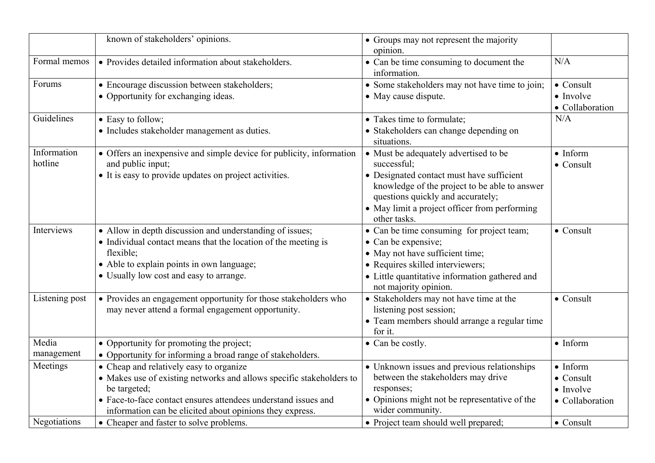|                        | known of stakeholders' opinions.                                                                                                                                                                                                                              | • Groups may not represent the majority<br>opinion.                                                                                                                                                                                                      |                                                                               |
|------------------------|---------------------------------------------------------------------------------------------------------------------------------------------------------------------------------------------------------------------------------------------------------------|----------------------------------------------------------------------------------------------------------------------------------------------------------------------------------------------------------------------------------------------------------|-------------------------------------------------------------------------------|
| Formal memos           | • Provides detailed information about stakeholders.                                                                                                                                                                                                           | • Can be time consuming to document the<br>information.                                                                                                                                                                                                  | N/A                                                                           |
| Forums                 | • Encourage discussion between stakeholders;<br>• Opportunity for exchanging ideas.                                                                                                                                                                           | • Some stakeholders may not have time to join;<br>• May cause dispute.                                                                                                                                                                                   | $\bullet$ Consult<br>$\bullet$ Involve<br>• Collaboration                     |
| Guidelines             | • Easy to follow;<br>• Includes stakeholder management as duties.                                                                                                                                                                                             | • Takes time to formulate;<br>• Stakeholders can change depending on<br>situations.                                                                                                                                                                      | N/A                                                                           |
| Information<br>hotline | • Offers an inexpensive and simple device for publicity, information<br>and public input;<br>• It is easy to provide updates on project activities.                                                                                                           | • Must be adequately advertised to be<br>successful;<br>• Designated contact must have sufficient<br>knowledge of the project to be able to answer<br>questions quickly and accurately;<br>• May limit a project officer from performing<br>other tasks. | $\bullet$ Inform<br>$\bullet$ Consult                                         |
| Interviews             | • Allow in depth discussion and understanding of issues;<br>• Individual contact means that the location of the meeting is<br>flexible;<br>• Able to explain points in own language;<br>• Usually low cost and easy to arrange.                               | • Can be time consuming for project team;<br>• Can be expensive;<br>• May not have sufficient time;<br>• Requires skilled interviewers;<br>• Little quantitative information gathered and<br>not majority opinion.                                       | $\bullet$ Consult                                                             |
| Listening post         | • Provides an engagement opportunity for those stakeholders who<br>may never attend a formal engagement opportunity.                                                                                                                                          | • Stakeholders may not have time at the<br>listening post session;<br>• Team members should arrange a regular time<br>for it.                                                                                                                            | $\bullet$ Consult                                                             |
| Media<br>management    | • Opportunity for promoting the project;<br>• Opportunity for informing a broad range of stakeholders.                                                                                                                                                        | • Can be costly.                                                                                                                                                                                                                                         | $\bullet$ Inform                                                              |
| Meetings               | • Cheap and relatively easy to organize<br>• Makes use of existing networks and allows specific stakeholders to<br>be targeted;<br>• Face-to-face contact ensures attendees understand issues and<br>information can be elicited about opinions they express. | • Unknown issues and previous relationships<br>between the stakeholders may drive<br>responses;<br>• Opinions might not be representative of the<br>wider community.                                                                                     | $\bullet$ Inform<br>$\bullet$ Consult<br>$\bullet$ Involve<br>• Collaboration |
| Negotiations           | • Cheaper and faster to solve problems.                                                                                                                                                                                                                       | • Project team should well prepared;                                                                                                                                                                                                                     | $\bullet$ Consult                                                             |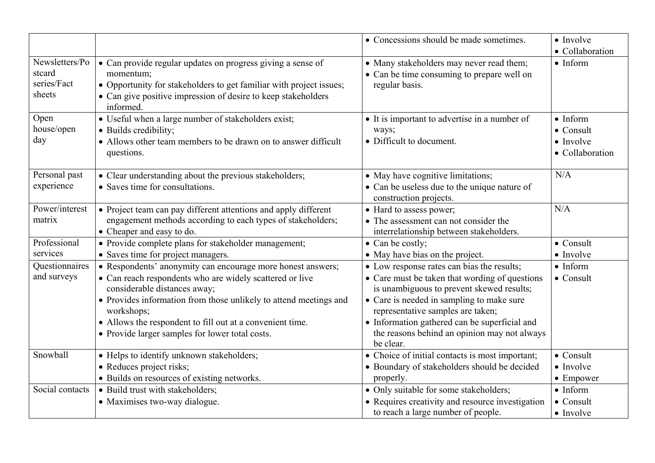|                                                   |                                                                                                                                                                                                                                                                                                                                                            | • Concessions should be made sometimes.                                                                                                                                                                                                                                                                                                   | $\bullet$ Involve<br>• Collaboration                                          |
|---------------------------------------------------|------------------------------------------------------------------------------------------------------------------------------------------------------------------------------------------------------------------------------------------------------------------------------------------------------------------------------------------------------------|-------------------------------------------------------------------------------------------------------------------------------------------------------------------------------------------------------------------------------------------------------------------------------------------------------------------------------------------|-------------------------------------------------------------------------------|
| Newsletters/Po<br>stcard<br>series/Fact<br>sheets | • Can provide regular updates on progress giving a sense of<br>momentum;<br>• Opportunity for stakeholders to get familiar with project issues;<br>• Can give positive impression of desire to keep stakeholders<br>informed.                                                                                                                              | • Many stakeholders may never read them;<br>• Can be time consuming to prepare well on<br>regular basis.                                                                                                                                                                                                                                  | $\bullet$ Inform                                                              |
| Open<br>house/open<br>day                         | • Useful when a large number of stakeholders exist;<br>· Builds credibility;<br>• Allows other team members to be drawn on to answer difficult<br>questions.                                                                                                                                                                                               | • It is important to advertise in a number of<br>ways;<br>• Difficult to document.                                                                                                                                                                                                                                                        | $\bullet$ Inform<br>$\bullet$ Consult<br>$\bullet$ Involve<br>• Collaboration |
| Personal past<br>experience                       | • Clear understanding about the previous stakeholders;<br>• Saves time for consultations.                                                                                                                                                                                                                                                                  | • May have cognitive limitations;<br>• Can be useless due to the unique nature of<br>construction projects.                                                                                                                                                                                                                               | N/A                                                                           |
| Power/interest<br>matrix                          | • Project team can pay different attentions and apply different<br>engagement methods according to each types of stakeholders;<br>• Cheaper and easy to do.                                                                                                                                                                                                | • Hard to assess power;<br>• The assessment can not consider the<br>interrelationship between stakeholders.                                                                                                                                                                                                                               | N/A                                                                           |
| Professional<br>services                          | • Provide complete plans for stakeholder management;<br>• Saves time for project managers.                                                                                                                                                                                                                                                                 | $\bullet$ Can be costly;<br>• May have bias on the project.                                                                                                                                                                                                                                                                               | $\bullet$ Consult<br>$\bullet$ Involve                                        |
| Questionnaires<br>and surveys                     | • Respondents' anonymity can encourage more honest answers;<br>• Can reach respondents who are widely scattered or live<br>considerable distances away;<br>• Provides information from those unlikely to attend meetings and<br>workshops;<br>• Allows the respondent to fill out at a convenient time.<br>• Provide larger samples for lower total costs. | • Low response rates can bias the results;<br>• Care must be taken that wording of questions<br>is unambiguous to prevent skewed results;<br>• Care is needed in sampling to make sure<br>representative samples are taken;<br>• Information gathered can be superficial and<br>the reasons behind an opinion may not always<br>be clear. | $\bullet$ Inform<br>$\bullet$ Consult                                         |
| Snowball                                          | • Helps to identify unknown stakeholders;<br>• Reduces project risks;<br>• Builds on resources of existing networks.                                                                                                                                                                                                                                       | • Choice of initial contacts is most important;<br>• Boundary of stakeholders should be decided<br>properly.                                                                                                                                                                                                                              | $\bullet$ Consult<br>$\bullet$ Involve<br>$\bullet$ Empower                   |
| Social contacts                                   | • Build trust with stakeholders;<br>• Maximises two-way dialogue.                                                                                                                                                                                                                                                                                          | • Only suitable for some stakeholders;<br>• Requires creativity and resource investigation<br>to reach a large number of people.                                                                                                                                                                                                          | $\bullet$ Inform<br>$\bullet$ Consult<br>$\bullet$ Involve                    |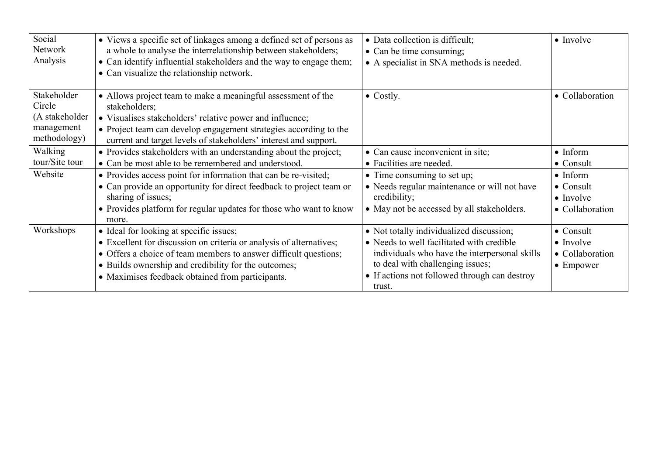| Social<br>Network<br>Analysis                                         | • Views a specific set of linkages among a defined set of persons as<br>a whole to analyse the interrelationship between stakeholders;<br>• Can identify influential stakeholders and the way to engage them;<br>• Can visualize the relationship network.                                     | • Data collection is difficult;<br>• Can be time consuming;<br>• A specialist in SNA methods is needed.                                                                                                                               | $\bullet$ Involve                                                              |
|-----------------------------------------------------------------------|------------------------------------------------------------------------------------------------------------------------------------------------------------------------------------------------------------------------------------------------------------------------------------------------|---------------------------------------------------------------------------------------------------------------------------------------------------------------------------------------------------------------------------------------|--------------------------------------------------------------------------------|
| Stakeholder<br>Circle<br>(A stakeholder<br>management<br>methodology) | • Allows project team to make a meaningful assessment of the<br>stakeholders;<br>• Visualises stakeholders' relative power and influence;<br>• Project team can develop engagement strategies according to the<br>current and target levels of stakeholders' interest and support.             | $\bullet$ Costly.                                                                                                                                                                                                                     | • Collaboration                                                                |
| Walking<br>tour/Site tour                                             | • Provides stakeholders with an understanding about the project;<br>• Can be most able to be remembered and understood.                                                                                                                                                                        | • Can cause inconvenient in site;<br>• Facilities are needed.                                                                                                                                                                         | $\bullet$ Inform<br>$\bullet$ Consult                                          |
| Website                                                               | • Provides access point for information that can be re-visited;<br>• Can provide an opportunity for direct feedback to project team or<br>sharing of issues;<br>• Provides platform for regular updates for those who want to know<br>more.                                                    | • Time consuming to set up;<br>• Needs regular maintenance or will not have<br>credibility;<br>• May not be accessed by all stakeholders.                                                                                             | $\bullet$ Inform<br>$\bullet$ Consult<br>$\bullet$ Involve<br>• Collaboration  |
| Workshops                                                             | • Ideal for looking at specific issues;<br>• Excellent for discussion on criteria or analysis of alternatives;<br>• Offers a choice of team members to answer difficult questions;<br>• Builds ownership and credibility for the outcomes;<br>• Maximises feedback obtained from participants. | • Not totally individualized discussion;<br>• Needs to well facilitated with credible<br>individuals who have the interpersonal skills<br>to deal with challenging issues;<br>• If actions not followed through can destroy<br>trust. | $\bullet$ Consult<br>$\bullet$ Involve<br>• Collaboration<br>$\bullet$ Empower |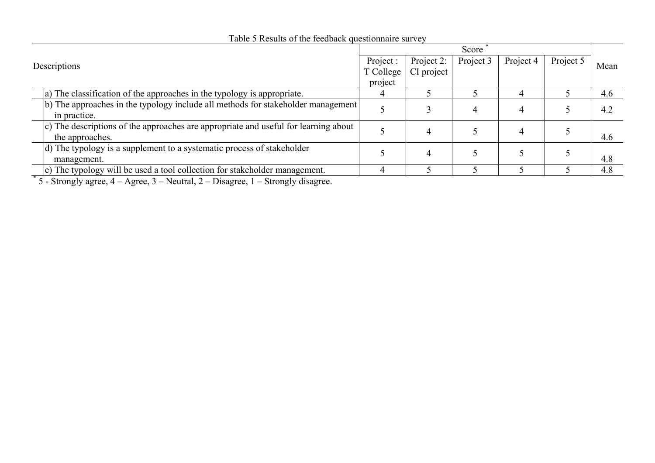| Project :<br>Descriptions<br>T College                                              |         | Score      |           |           |           |      |
|-------------------------------------------------------------------------------------|---------|------------|-----------|-----------|-----------|------|
|                                                                                     |         | Project 2: | Project 3 | Project 4 | Project 5 | Mean |
|                                                                                     |         | CI project |           |           |           |      |
|                                                                                     | project |            |           |           |           |      |
| a) The classification of the approaches in the typology is appropriate.             |         |            |           |           |           | 4.6  |
| (b) The approaches in the typology include all methods for stakeholder management   |         |            |           |           |           |      |
| in practice.                                                                        |         |            |           |           |           | 4.2  |
| c) The descriptions of the approaches are appropriate and useful for learning about |         |            |           |           |           |      |
| the approaches.                                                                     |         |            |           |           |           | 4.6  |
| (d) The typology is a supplement to a systematic process of stakeholder             |         |            |           |           |           |      |
| management.                                                                         |         |            |           |           |           | 4.8  |
| e) The typology will be used a tool collection for stakeholder management.          |         |            |           |           |           | 4.8  |

# Table 5 Results of the feedback questionnaire survey

 $*$  5 - Strongly agree,  $4 - \text{Agree}, 3 - \text{Neutral}, 2 - \text{Disagree}, 1 - \text{Strongly disagree}.$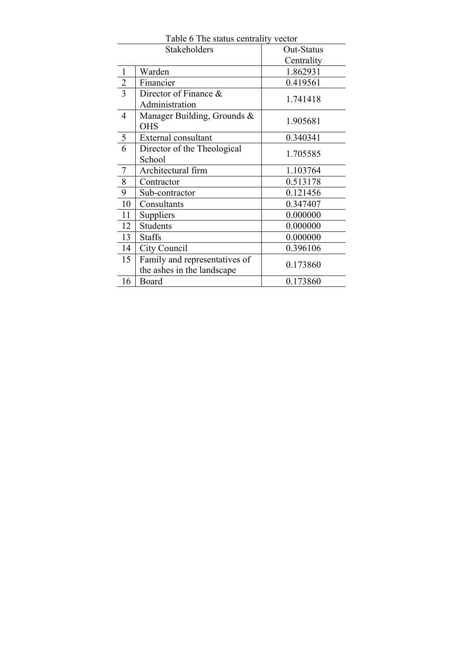|                | Stakeholders                                                | Out-Status |
|----------------|-------------------------------------------------------------|------------|
|                |                                                             | Centrality |
| $\mathbf{1}$   | Warden                                                      | 1.862931   |
| $\frac{2}{3}$  | Financier                                                   | 0.419561   |
|                | Director of Finance &<br>Administration                     | 1.741418   |
| $\overline{4}$ | Manager Building, Grounds &<br><b>OHS</b>                   | 1.905681   |
| 5              | External consultant                                         | 0.340341   |
| 6              | Director of the Theological<br>School                       | 1.705585   |
| $\tau$         | Architectural firm                                          | 1.103764   |
| 8              | Contractor                                                  | 0.513178   |
| 9              | Sub-contractor                                              | 0.121456   |
| 10             | Consultants                                                 | 0.347407   |
| 11             | Suppliers                                                   | 0.000000   |
| 12             | Students                                                    | 0.000000   |
| 13             | <b>Staffs</b>                                               | 0.000000   |
| 14             | City Council                                                | 0.396106   |
| 15             | Family and representatives of<br>the ashes in the landscape | 0.173860   |
| 16             | Board                                                       | 0.173860   |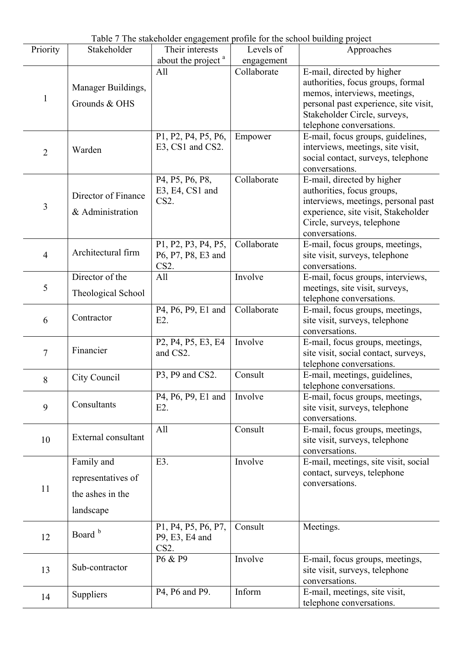| Table 7 The stakeholder engagement profile for the school building project |                                                                   |                                                                                                |                           |                                                                                                                                                                                                      |
|----------------------------------------------------------------------------|-------------------------------------------------------------------|------------------------------------------------------------------------------------------------|---------------------------|------------------------------------------------------------------------------------------------------------------------------------------------------------------------------------------------------|
| Priority                                                                   | Stakeholder                                                       | Their interests                                                                                | Levels of                 | Approaches                                                                                                                                                                                           |
|                                                                            |                                                                   | about the project <sup>a</sup><br>All                                                          | engagement<br>Collaborate |                                                                                                                                                                                                      |
| $\mathbf{1}$                                                               | Manager Buildings,<br>Grounds & OHS                               |                                                                                                |                           | E-mail, directed by higher<br>authorities, focus groups, formal<br>memos, interviews, meetings,<br>personal past experience, site visit,<br>Stakeholder Circle, surveys,<br>telephone conversations. |
| $\overline{c}$                                                             | Warden                                                            | P1, P2, P4, P5, P6,<br>E3, CS1 and CS2.                                                        | Empower                   | E-mail, focus groups, guidelines,<br>interviews, meetings, site visit,<br>social contact, surveys, telephone<br>conversations.                                                                       |
| $\overline{3}$                                                             | Director of Finance<br>& Administration                           | P4, P5, P6, P8,<br>E3, E4, CS1 and<br>CS <sub>2</sub> .                                        | Collaborate               | E-mail, directed by higher<br>authorities, focus groups,<br>interviews, meetings, personal past<br>experience, site visit, Stakeholder<br>Circle, surveys, telephone<br>conversations.               |
| $\overline{4}$                                                             | Architectural firm                                                | P1, P2, P3, P4, P5,<br>P6, P7, P8, E3 and<br>CS <sub>2</sub> .                                 | Collaborate               | E-mail, focus groups, meetings,<br>site visit, surveys, telephone<br>conversations.                                                                                                                  |
| 5                                                                          | Director of the<br>Theological School                             | All                                                                                            | Involve                   | E-mail, focus groups, interviews,<br>meetings, site visit, surveys,<br>telephone conversations.                                                                                                      |
| 6                                                                          | Contractor                                                        | P4, P6, P9, E1 and<br>$E2$ .                                                                   | Collaborate               | E-mail, focus groups, meetings,<br>site visit, surveys, telephone<br>conversations.                                                                                                                  |
| $\overline{7}$                                                             | Financier                                                         | P <sub>2</sub> , P <sub>4</sub> , P <sub>5</sub> , E <sub>3</sub> , E <sub>4</sub><br>and CS2. | Involve                   | E-mail, focus groups, meetings,<br>site visit, social contact, surveys,<br>telephone conversations.                                                                                                  |
| 8                                                                          | City Council                                                      | P3, P9 and CS2.                                                                                | Consult                   | E-mail, meetings, guidelines,<br>telephone conversations.                                                                                                                                            |
| 9                                                                          | Consultants                                                       | P4, P6, P9, E1 and<br>$E2$ .                                                                   | Involve                   | E-mail, focus groups, meetings,<br>site visit, surveys, telephone<br>conversations.                                                                                                                  |
| 10                                                                         | External consultant                                               | All                                                                                            | Consult                   | E-mail, focus groups, meetings,<br>site visit, surveys, telephone<br>conversations.                                                                                                                  |
| 11                                                                         | Family and<br>representatives of<br>the ashes in the<br>landscape | E3.                                                                                            | Involve                   | E-mail, meetings, site visit, social<br>contact, surveys, telephone<br>conversations.                                                                                                                |
| 12                                                                         | Board <sup>b</sup>                                                | P1, P4, P5, P6, P7,<br>P9, E3, E4 and<br>CS <sub>2</sub> .                                     | Consult                   | Meetings.                                                                                                                                                                                            |
| 13                                                                         | Sub-contractor                                                    | P6 & P9                                                                                        | Involve                   | E-mail, focus groups, meetings,<br>site visit, surveys, telephone<br>conversations.                                                                                                                  |
| 14                                                                         | Suppliers                                                         | P4, P6 and P9.                                                                                 | Inform                    | E-mail, meetings, site visit,<br>telephone conversations.                                                                                                                                            |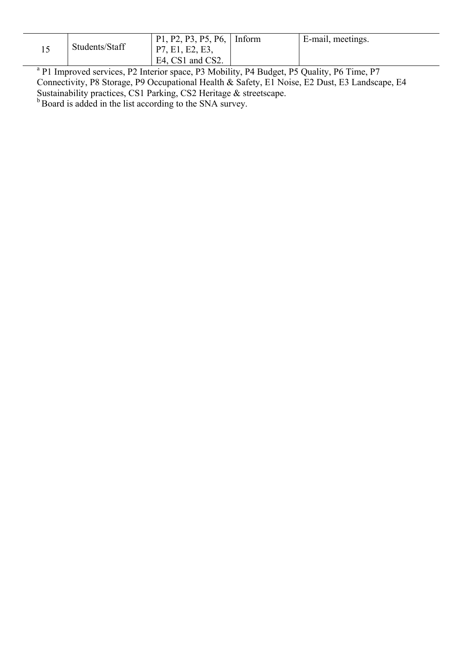|              | Students/Staff            | P1, P2, P3, P5, P6,   Inform<br>P7, E1, E2, E3,<br>$E4$ , CS1 and CS2. | E-mail, meetings. |
|--------------|---------------------------|------------------------------------------------------------------------|-------------------|
| $2 \times 1$ | $\mathbf{A}$ $\mathbf{A}$ |                                                                        | $\mathbf{r}$      |

<sup>a</sup> P1 Improved services, P2 Interior space, P3 Mobility, P4 Budget, P5 Quality, P6 Time, P7 Connectivity, P8 Storage, P9 Occupational Health & Safety, E1 Noise, E2 Dust, E3 Landscape, E4 Sustainability practices, CS1 Parking, CS2 Heritage & streetscape. <sup>b</sup> Board is added in the list according to the SNA survey.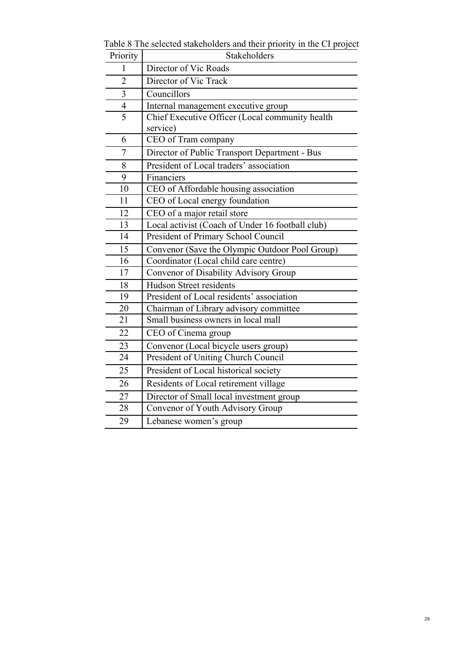| Priority       | Stakeholders                                     |  |
|----------------|--------------------------------------------------|--|
| 1              | Director of Vic Roads                            |  |
| $\overline{2}$ | Director of Vic Track                            |  |
| $\overline{3}$ | Councillors                                      |  |
| $\overline{4}$ | Internal management executive group              |  |
| $\overline{5}$ | Chief Executive Officer (Local community health  |  |
|                | service)                                         |  |
| 6              | CEO of Tram company                              |  |
| $\overline{7}$ | Director of Public Transport Department - Bus    |  |
| 8              | President of Local traders' association          |  |
| 9              | Financiers                                       |  |
| 10             | CEO of Affordable housing association            |  |
| 11             | CEO of Local energy foundation                   |  |
| 12             | CEO of a major retail store                      |  |
| 13             | Local activist (Coach of Under 16 football club) |  |
| 14             | President of Primary School Council              |  |
| 15             | Convenor (Save the Olympic Outdoor Pool Group)   |  |
| 16             | Coordinator (Local child care centre)            |  |
| 17             | Convenor of Disability Advisory Group            |  |
| 18             | <b>Hudson Street residents</b>                   |  |
| 19             | President of Local residents' association        |  |
| 20             | Chairman of Library advisory committee           |  |
| 21             | Small business owners in local mall              |  |
| 22             | CEO of Cinema group                              |  |
| 23             | Convenor (Local bicycle users group)             |  |
| 24             | President of Uniting Church Council              |  |
| 25             | President of Local historical society            |  |
| 26             | Residents of Local retirement village            |  |
| 27             | Director of Small local investment group         |  |
| 28             | Convenor of Youth Advisory Group                 |  |
| 29             | Lebanese women's group                           |  |

Table 8 The selected stakeholders and their priority in the CI project